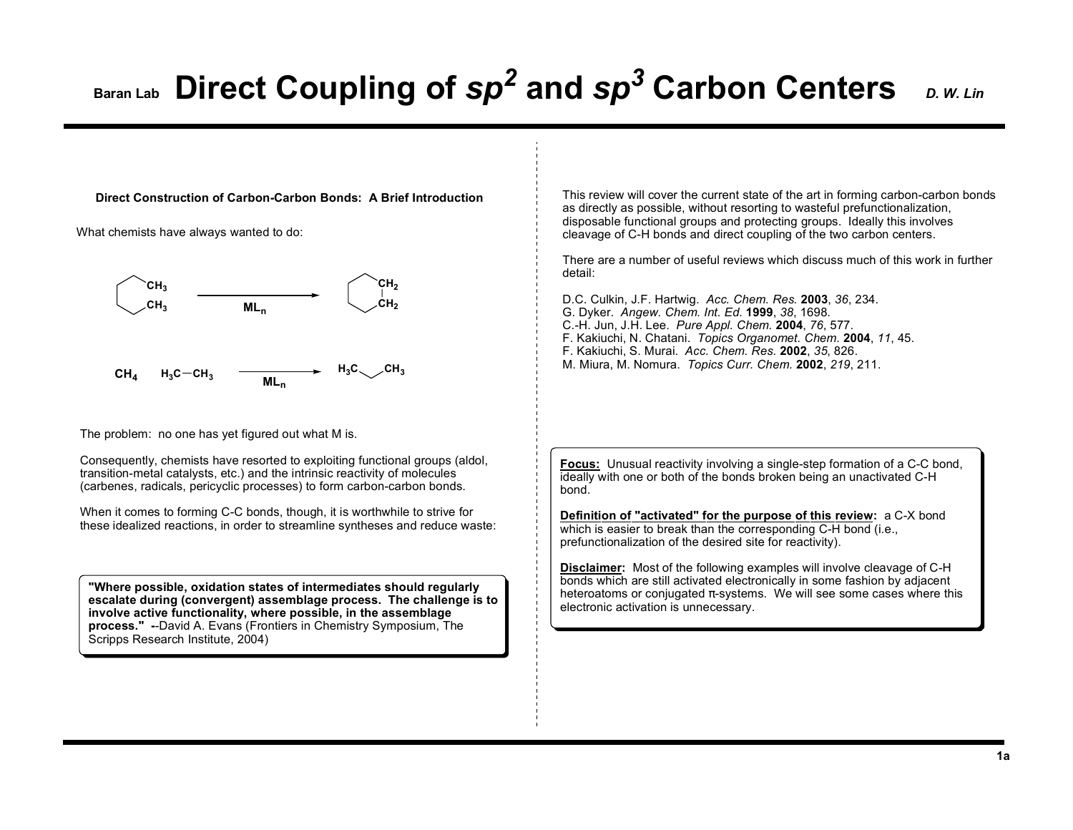## **Baran Lab Direct Coupling of**  $sp^2$  **and**  $sp^3$  **Carbon Centers** *D. W. Lin*

**Direct Construction of Carbon-Carbon Bonds: A Brief Introduction**

What chemists have always wanted to do:



The problem: no one has yet figured out what M is.

Consequently, chemists have resorted to exploiting functional groups (aldol, transition-metal catalysts, etc.) and the intrinsic reactivity of molecules (carbenes, radicals, pericyclic processes) to form carbon-carbon bonds.

When it comes to forming C-C bonds, though, it is worthwhile to strive for these idealized reactions, in order to streamline syntheses and reduce waste:

**"Where possible, oxidation states of intermediates should regularly escalate during (convergent) assemblage process. The challenge is to involve active functionality, where possible, in the assemblage process." -**-David A. Evans (Frontiers in Chemistry Symposium, The Scripps Research Institute, 2004)

This review will cover the current state of the art in forming carbon-carbon bonds as directly as possible, without resorting to wasteful prefunctionalization, disposable functional groups and protecting groups. Ideally this involves cleavage of C-H bonds and direct coupling of the two carbon centers.

There are a number of useful reviews which discuss much of this work in further detail:

D.C. Culkin, J.F. Hartwig. *Acc. Chem. Res.* **2003**, *36*, 234. G. Dyker. *Angew. Chem. Int. Ed.* **1999**, *38*, 1698. C.-H. Jun, J.H. Lee. *Pure Appl. Chem.* **2004**, *76*, 577. F. Kakiuchi, N. Chatani. *Topics Organomet. Chem.* **2004**, *11*, 45. F. Kakiuchi, S. Murai. *Acc. Chem. Res.* **2002**, *35*, 826. M. Miura, M. Nomura. *Topics Curr. Chem.* **2002**, *219*, 211.

**Focus:** Unusual reactivity involving a single-step formation of a C-C bond, ideally with one or both of the bonds broken being an unactivated C-H bond.

**Definition of "activated" for the purpose of this review:** a C-X bond which is easier to break than the corresponding C-H bond (i.e., prefunctionalization of the desired site for reactivity).

**Disclaimer:** Most of the following examples will involve cleavage of C-H bonds which are still activated electronically in some fashion by adjacent heteroatoms or conjugated  $\pi$ -systems. We will see some cases where this electronic activation is unnecessary.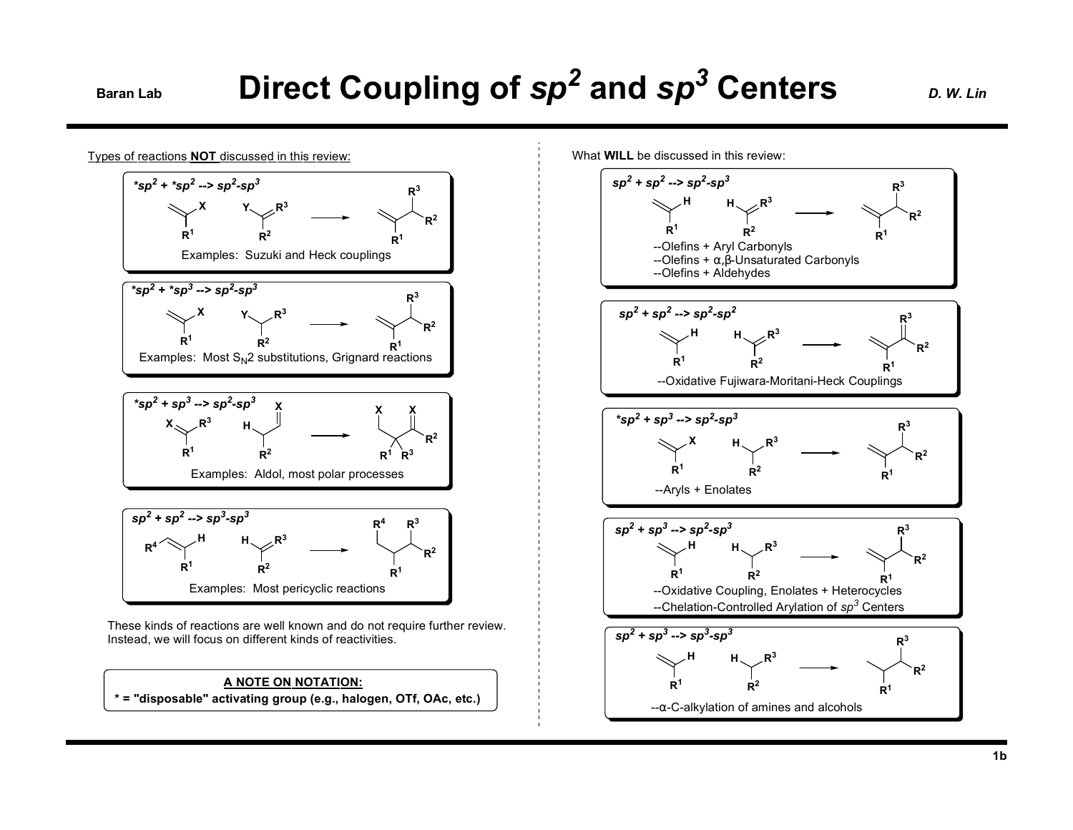# **Direct Coupling of sp<sup>2</sup> and sp<sup>3</sup> Centers** *D. W. Lin*

**R<sup>3</sup>**

**R<sup>2</sup>**



Types of reactions **NOT** discussed in this review:

**R<sup>1</sup>**  $*sp<sup>2</sup> + *sp<sup>3</sup> - > sp<sup>2</sup>-sp<sup>3</sup>$ Examples: Suzuki and Heck couplings







These kinds of reactions are well known and do not require further review. Instead, we will focus on different kinds of reactivities.

**\* = "disposable" activating group (e.g., halogen, OTf, OAc, etc.) A NOTE ON NOTATION:**

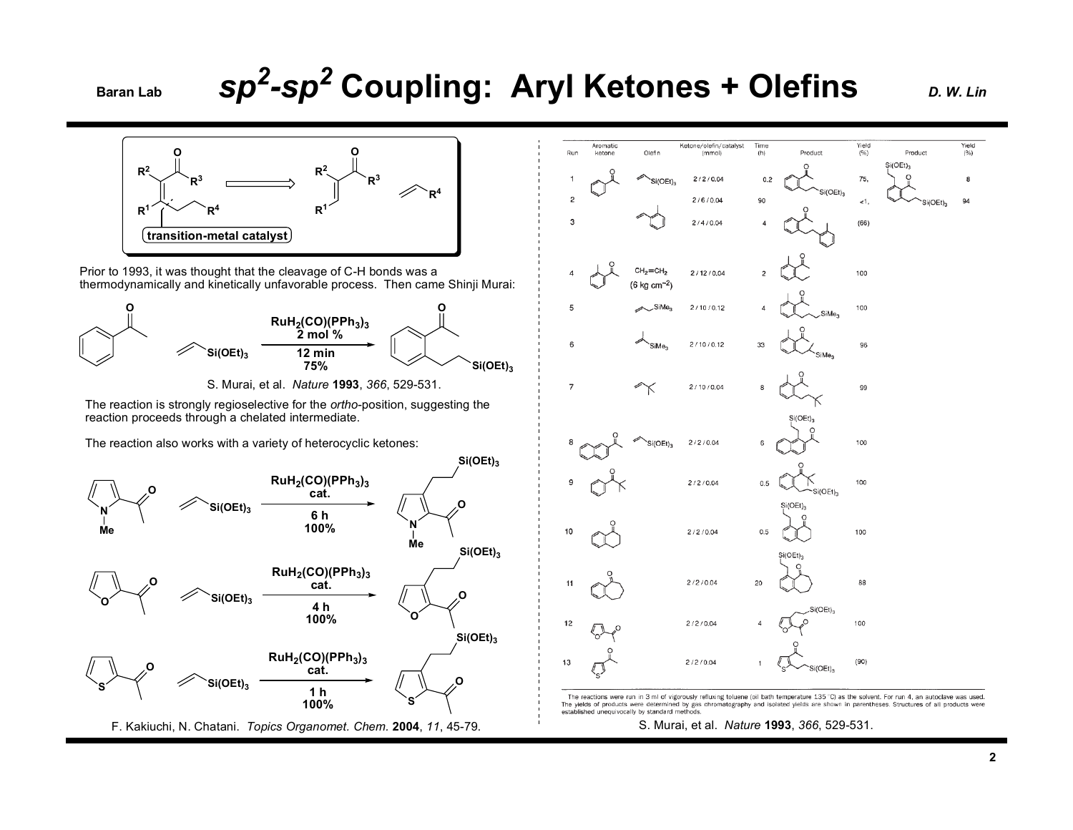## **Baran Lab Coupling: Aryl Ketones + Olefins** *D. W. Lin*

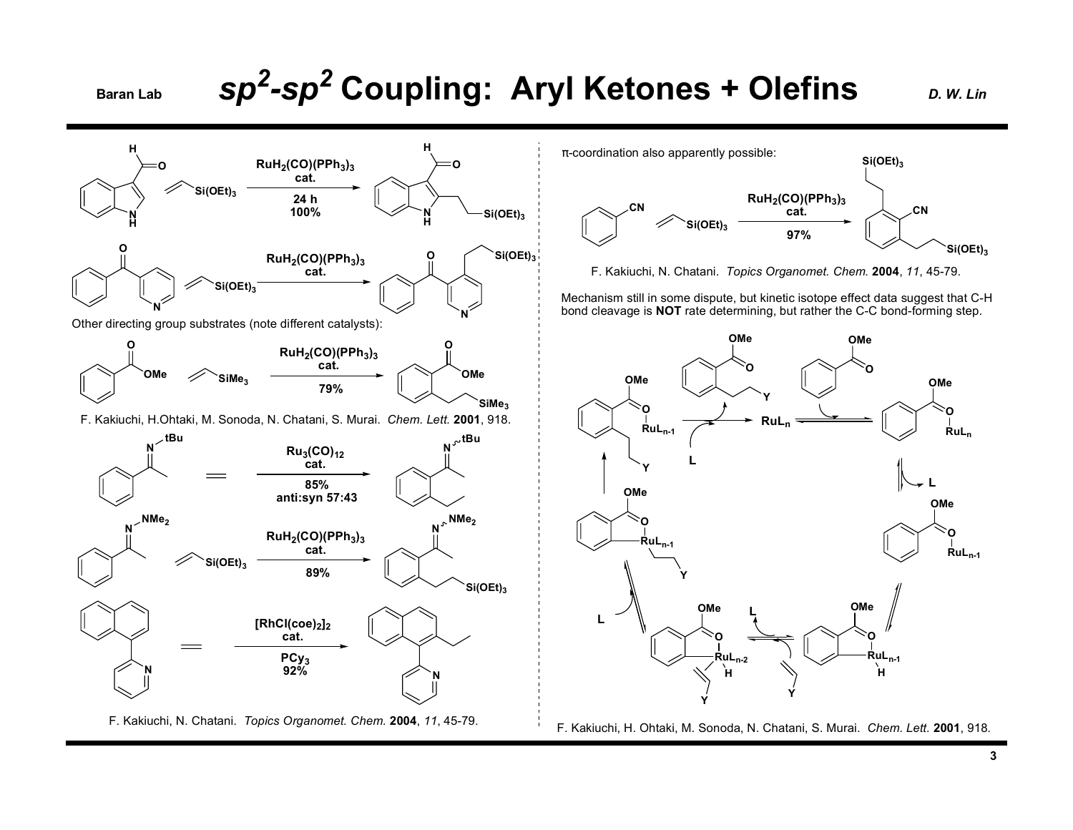### **Baran Lab Coupling: Aryl Ketones + Olefins** *D. W. Lin*

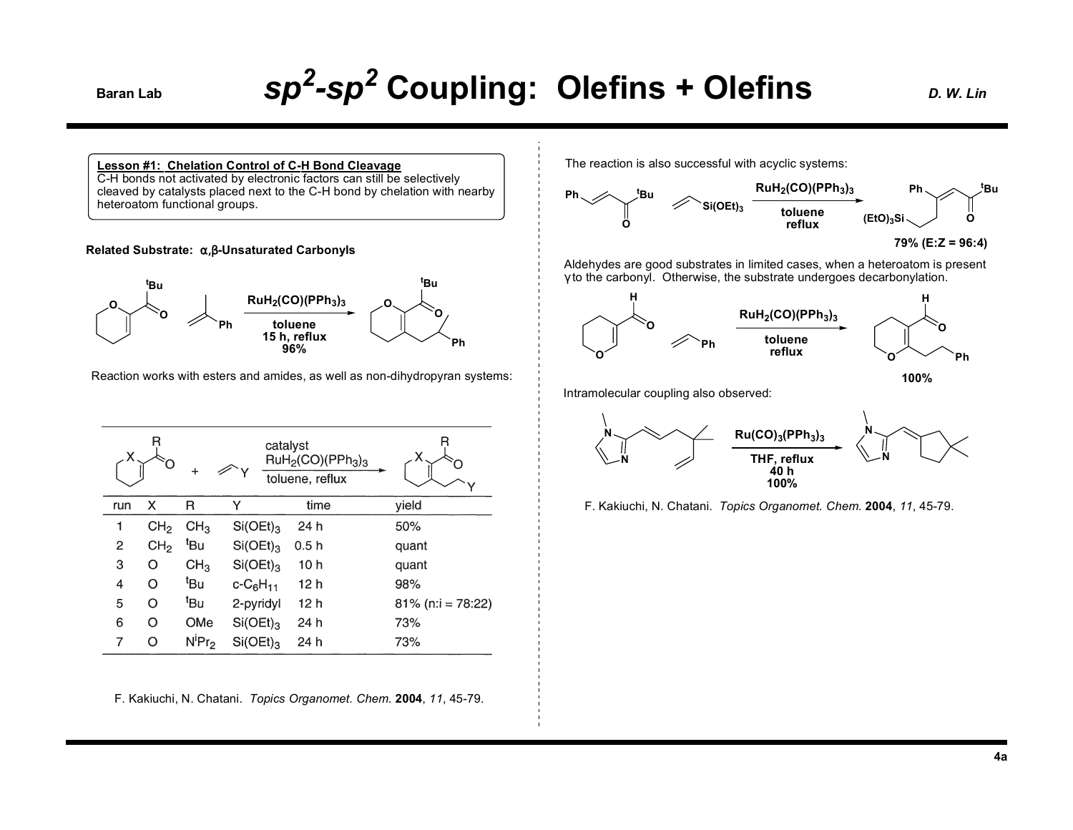## Baran Lab **Sp<sup>2</sup>-Sp<sup>2</sup> Coupling: Olefins + Olefins** *D. W. Lin*

**Lesson #1: Chelation Control of C-H Bond Cleavage**

C-H bonds not activated by electronic factors can still be selectively cleaved by catalysts placed next to the C-H bond by chelation with nearby heteroatom functional groups.

### **Related Substrate:** α,β**-Unsaturated Carbonyls**



Reaction works with esters and amides, as well as non-dihydropyran systems:

|     | R               |                 |                  | catalyst<br>RuH <sub>2</sub> (CO)(PPh <sub>3</sub> ) <sub>3</sub><br>toluene, reflux |                      |
|-----|-----------------|-----------------|------------------|--------------------------------------------------------------------------------------|----------------------|
| run | x               | R               | Υ                | time                                                                                 | yield                |
| 1   | CH <sub>2</sub> | CH <sub>3</sub> | $Si(OEt)_{3}$    | 24 h                                                                                 | 50%                  |
| 2   | CH <sub>2</sub> | t <sub>Bu</sub> | $Si(OEt)_{3}$    | 0.5h                                                                                 | quant                |
| 3   | O               | CH <sub>3</sub> | $Si(OEt)_{3}$    | 10 h                                                                                 | quant                |
| 4   | O               | <sup>t</sup> Bu | $c - C_6 H_{11}$ | 12 h                                                                                 | 98%                  |
| 5   | O               | <sup>t</sup> Bu | 2-pyridyl        | 12 h                                                                                 | $81\%$ (n:i = 78:22) |
| 6   | O               | OMe             | $Si(OEt)_{3}$    | 24 h                                                                                 | 73%                  |
| 7   | O               | $N^{i}Pr_{2}$   | $Si(OEt)_{3}$    | 24 h                                                                                 | 73%                  |

F. Kakiuchi, N. Chatani. *Topics Organomet. Chem.* **2004**, *11*, 45-79.

The reaction is also successful with acyclic systems:



**<sup>79% (</sup>E:Z = 96:4)**

Aldehydes are good substrates in limited cases, when a heteroatom is present γ to the carbonyl. Otherwise, the substrate undergoes decarbonylation.



**100%**

Intramolecular coupling also observed:



F. Kakiuchi, N. Chatani. *Topics Organomet. Chem.* **2004**, *11*, 45-79.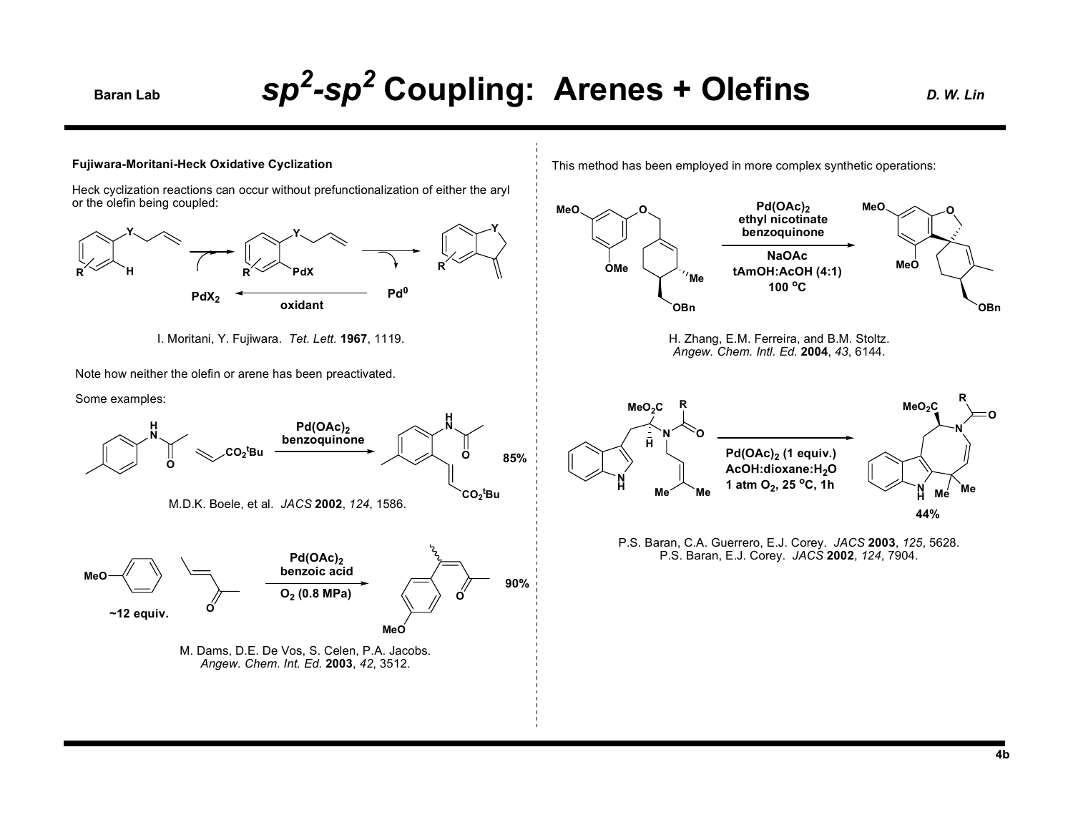## *sp2-sp2* **Baran Lab Coupling: Arenes + Olefins** *D. W. Lin*



Heck cyclization reactions can occur without prefunctionalization of either the aryl or the olefin being coupled:



I. Moritani, Y. Fujiwara. *Tet. Lett.* **1967**, 1119.

Note how neither the olefin or arene has been preactivated.

Some examples:



This method has been employed in more complex synthetic operations:



P.S. Baran, C.A. Guerrero, E.J. Corey. *JACS* **2003**, *125*, 5628. P.S. Baran, E.J. Corey. *JACS* **2002**, *124*, 7904.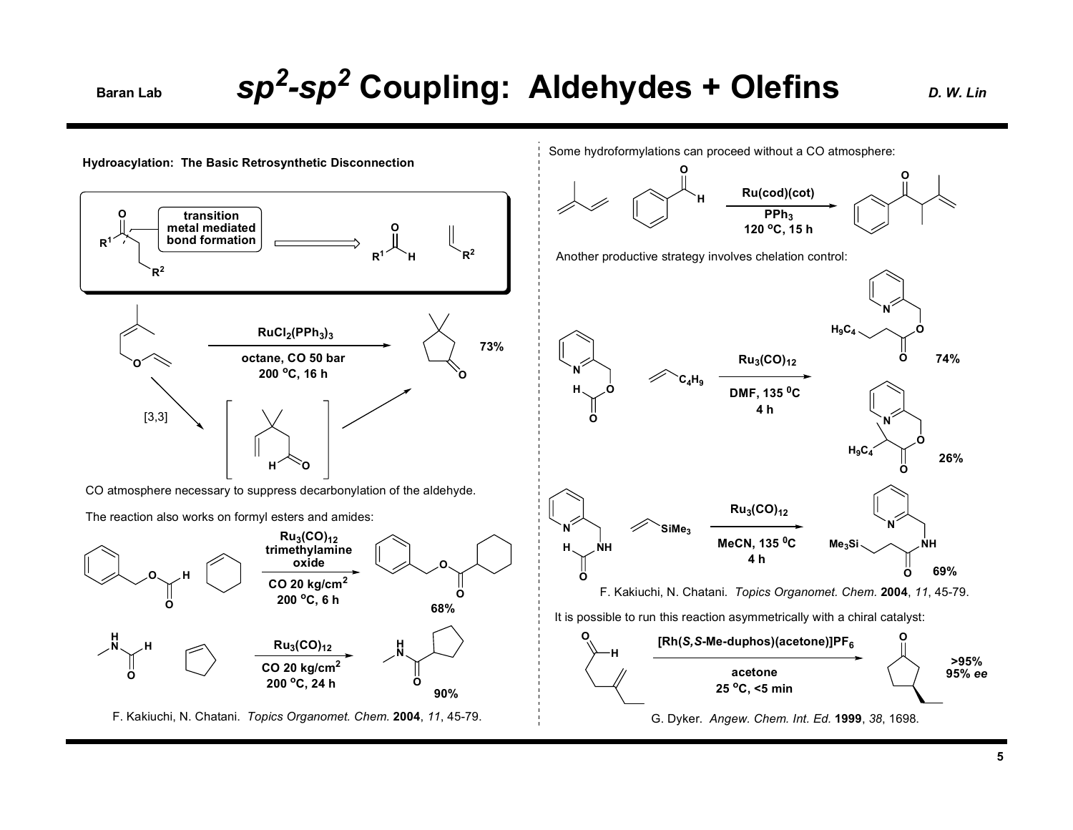## **Baran Lab Sp<sup>2</sup>-Sp<sup>2</sup> Coupling: Aldehydes + Olefins** *D. W. Lin*

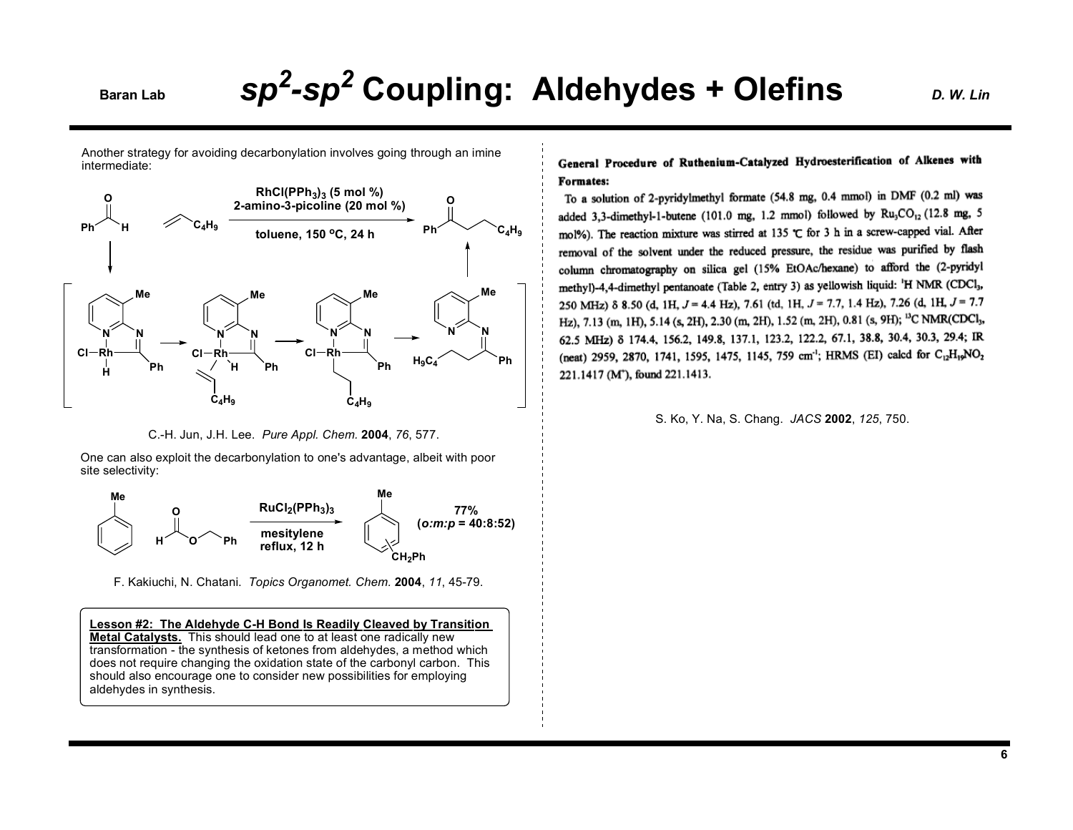### **Baran Lab Sp<sup>2</sup>-Sp<sup>2</sup> Coupling: Aldehydes + Olefins** *D. W. Lin*

Another strategy for avoiding decarbonylation involves going through an imine intermediate:



C.-H. Jun, J.H. Lee. *Pure Appl. Chem.* **2004**, *76*, 577.

One can also exploit the decarbonylation to one's advantage, albeit with poor site selectivity:



F. Kakiuchi, N. Chatani. *Topics Organomet. Chem.* **2004**, *11*, 45-79.

**Lesson #2: The Aldehyde C-H Bond Is Readily Cleaved by Transition Metal Catalysts.** This should lead one to at least one radically new transformation - the synthesis of ketones from aldehydes, a method which does not require changing the oxidation state of the carbonyl carbon. This should also encourage one to consider new possibilities for employing aldehydes in synthesis.

### General Procedure of Ruthenium-Catalyzed Hydroesterification of Alkenes with Formates:

To a solution of 2-pyridylmethyl formate (54.8 mg, 0.4 mmol) in DMF (0.2 ml) was added 3,3-dimethyl-1-butene (101.0 mg, 1.2 mmol) followed by Ru<sub>3</sub>CO<sub>12</sub> (12.8 mg, 5 mol%). The reaction mixture was stirred at 135  $\subset$  for 3 h in a screw-capped vial. After removal of the solvent under the reduced pressure, the residue was purified by flash column chromatography on silica gel (15% EtOAc/hexane) to afford the (2-pyridyl methyl)-4,4-dimethyl pentanoate (Table 2, entry 3) as yellowish liquid: 'H NMR (CDCl<sub>3</sub>, 250 MHz)  $\delta$  8.50 (d, 1H, J = 4.4 Hz), 7.61 (td, 1H, J = 7.7, 1.4 Hz), 7.26 (d, 1H, J = 7.7 Hz), 7.13 (m, 1H), 5.14 (s, 2H), 2.30 (m, 2H), 1.52 (m, 2H), 0.81 (s, 9H); <sup>13</sup>C NMR(CDCl<sub>3</sub>, 62.5 MHz) 8 174.4, 156.2, 149.8, 137.1, 123.2, 122.2, 67.1, 38.8, 30.4, 30.3, 29.4; IR (neat) 2959, 2870, 1741, 1595, 1475, 1145, 759 cm<sup>-1</sup>; HRMS (EI) calcd for C<sub>12</sub>H<sub>19</sub>NO<sub>2</sub> 221.1417 (M<sup>+</sup>), found 221.1413.

S. Ko, Y. Na, S. Chang. *JACS* **2002**, *125*, 750.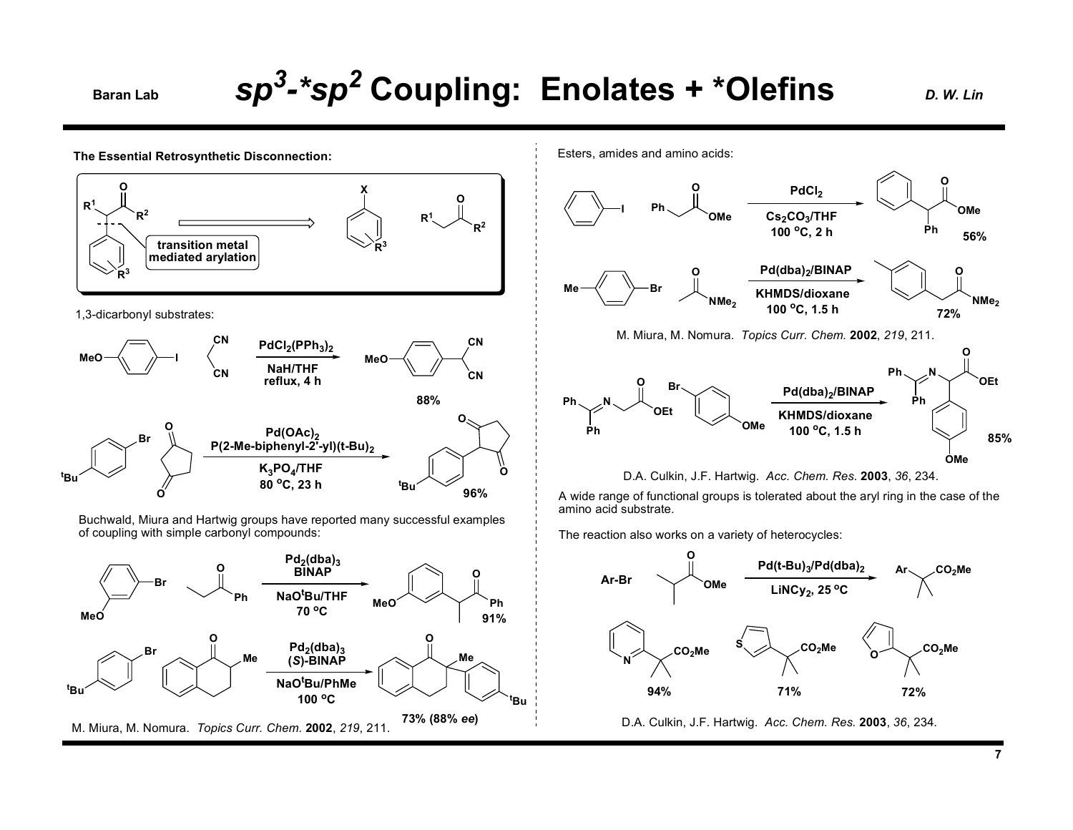### **Baran Lab Coupling: Enolates + \*Olefins** *D. W. Lin*

**The Essential Retrosynthetic Disconnection: OR<sup>1</sup> <sup>R</sup><sup>2</sup> <sup>R</sup><sup>1</sup> OR<sup>2</sup> Xtransition metal mediated arylation** 1,3-dicarbonyl substrates: **MeO I CNCN**PdCl<sub>2</sub>(PPh<sub>3</sub>)<sub>2</sub> **NaH/THF reflux, 4 h MeOCNCN88%tBuBrOO**Pd(OAc)<sub>2</sub> **P(2-Me-biphenyl-2'-yl)(t-Bu)2K3PO4/THF 80 oC, 23 h tBuOO96%**Esters, amides and amino acids: **Ph OOMe**PdCl<sub>2</sub> **Cs2CO3/THF 100 oC, 2 h OPhMe Br ONMe2**Pd(dba)<sub>2</sub>/BINAP **KHMDS/dioxane100 oC, 1.5 h PhPhNOOEtBrOMe**Pd(dba)<sub>2</sub>/BINAP **KHMDS/dioxane100 oC, 1.5 h PhPhNR<sup>3</sup> R<sup>3</sup>** M. Miura, M. Nomura. *Topics Curr. Chem.* **2002**, *219*, 211. D.A. Culkin, J.F. Hartwig. *Acc. Chem. Res.* **2003**, *36*, 234.

Buchwald, Miura and Hartwig groups have reported many successful examples of coupling with simple carbonyl compounds:





A wide range of functional groups is tolerated about the aryl ring in the case of the amino acid substrate.

The reaction also works on a variety of heterocycles:



D.A. Culkin, J.F. Hartwig. *Acc. Chem. Res.* **2003**, *36*, 234.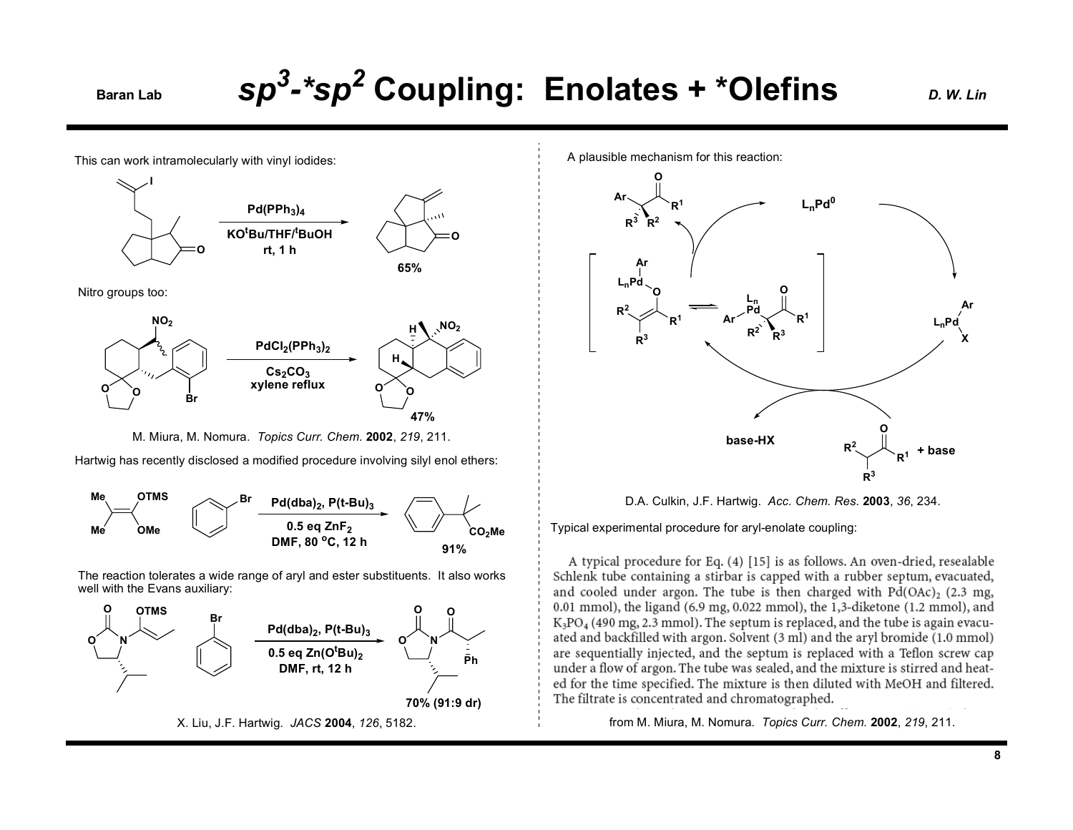### **Baran Lab Coupling: Enolates + \*Olefins** *D. W. Lin*

This can work intramolecularly with vinyl iodides:



Nitro groups too:



M. Miura, M. Nomura. *Topics Curr. Chem.* **2002**, *219*, 211.

Hartwig has recently disclosed a modified procedure involving silyl enol ethers:



The reaction tolerates a wide range of aryl and ester substituents. It also works well with the Evans auxiliary:



A plausible mechanism for this reaction:



D.A. Culkin, J.F. Hartwig. *Acc. Chem. Res.* **2003**, *36*, 234.

Typical experimental procedure for aryl-enolate coupling:

A typical procedure for Eq. (4) [15] is as follows. An oven-dried, resealable Schlenk tube containing a stirbar is capped with a rubber septum, evacuated, and cooled under argon. The tube is then charged with  $Pd(OAc)$ , (2.3 mg, 0.01 mmol), the ligand  $(6.9 \text{ mg}, 0.022 \text{ mmol})$ , the 1,3-diketone  $(1.2 \text{ mmol})$ , and  $K_3PO_4$  (490 mg, 2.3 mmol). The septum is replaced, and the tube is again evacuated and backfilled with argon. Solvent (3 ml) and the aryl bromide (1.0 mmol) are sequentially injected, and the septum is replaced with a Teflon screw cap under a flow of argon. The tube was sealed, and the mixture is stirred and heated for the time specified. The mixture is then diluted with MeOH and filtered. The filtrate is concentrated and chromatographed.

from M. Miura, M. Nomura. *Topics Curr. Chem.* **2002**, *219*, 211.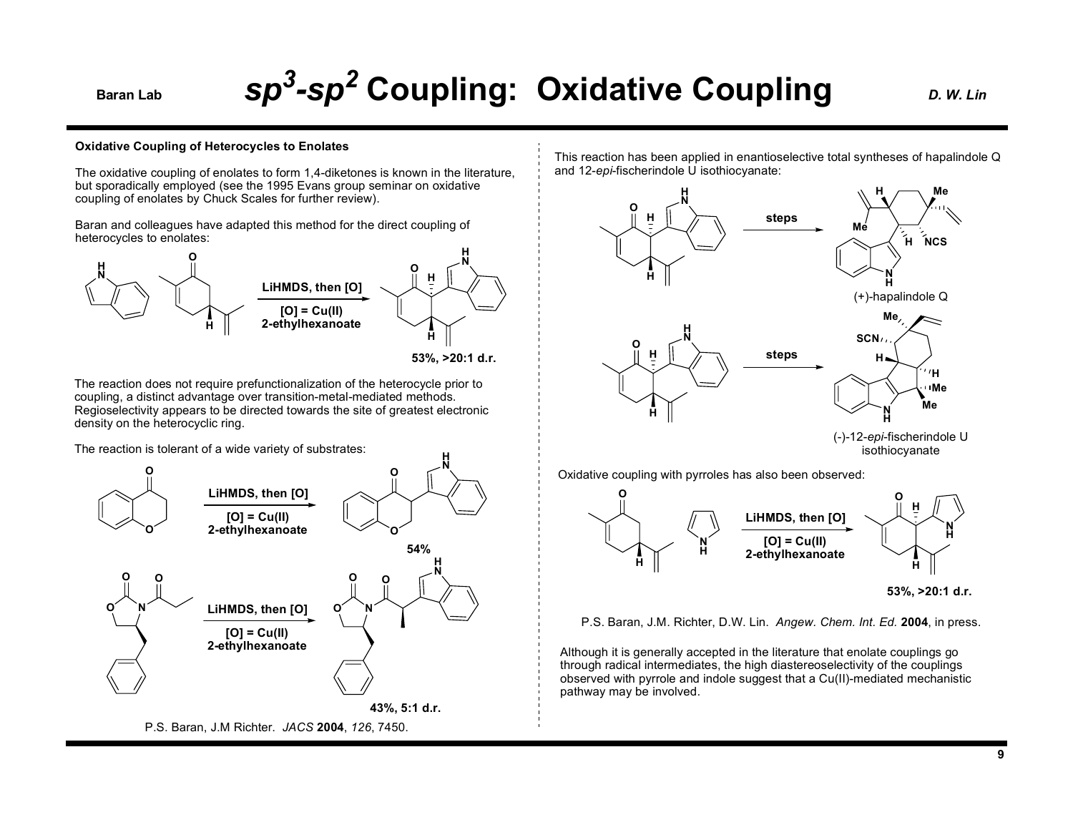## **Baran Lab Coupling: Oxidative Coupling** *D. W. Lin*

### **Oxidative Coupling of Heterocycles to Enolates**

The oxidative coupling of enolates to form 1,4-diketones is known in the literature, but sporadically employed (see the 1995 Evans group seminar on oxidative coupling of enolates by Chuck Scales for further review).

Baran and colleagues have adapted this method for the direct coupling of heterocycles to enolates:



**<sup>53%, &</sup>gt;20:1 d.r.**

**H**

The reaction does not require prefunctionalization of the heterocycle prior to coupling, a distinct advantage over transition-metal-mediated methods. Regioselectivity appears to be directed towards the site of greatest electronic density on the heterocyclic ring.

The reaction is tolerant of a wide variety of substrates:



P.S. Baran, J.M Richter. *JACS* **2004**, *126*, 7450.

This reaction has been applied in enantioselective total syntheses of hapalindole Q and 12-*epi*-fischerindole U isothiocyanate:



Oxidative coupling with pyrroles has also been observed:



**<sup>53%, &</sup>gt;20:1 d.r.**

P.S. Baran, J.M. Richter, D.W. Lin. *Angew. Chem. Int. Ed.* **2004**, in press.

Although it is generally accepted in the literature that enolate couplings go through radical intermediates, the high diastereoselectivity of the couplings observed with pyrrole and indole suggest that a Cu(II)-mediated mechanistic pathway may be involved.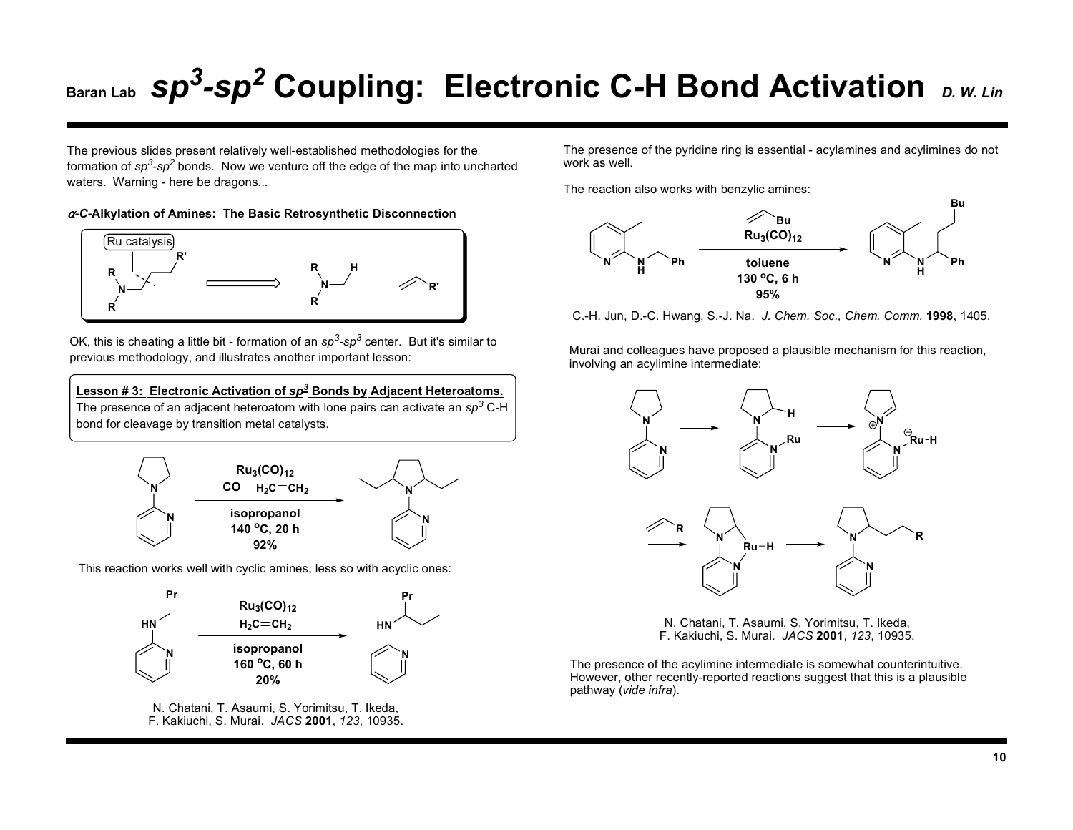The previous slides present relatively well-established methodologies for the formation of *sp3-sp2* bonds. Now we venture off the edge of the map into uncharted waters. Warning - here be dragons...

<sup>α</sup>*-C***-Alkylation of Amines: The Basic Retrosynthetic Disconnection**



OK, this is cheating a little bit - formation of an *sp3-sp3* center. But it's similar to previous methodology, and illustrates another important lesson:

**Lesson # 3: Electronic Activation of** *sp<sup>3</sup>* **Bonds by Adjacent Heteroatoms.** The presence of an adjacent heteroatom with lone pairs can activate an *sp3* C-H bond for cleavage by transition metal catalysts.



This reaction works well with cyclic amines, less so with acyclic ones:



N. Chatani, T. Asaumi, S. Yorimitsu, T. Ikeda, F. Kakiuchi, S. Murai. *JACS* **2001**, *123*, 10935. The presence of the pyridine ring is essential - acylamines and acylimines do not work as well.

The reaction also works with benzylic amines:



C.-H. Jun, D.-C. Hwang, S.-J. Na. *J. Chem. Soc., Chem. Comm.* **1998**, 1405.

Murai and colleagues have proposed a plausible mechanism for this reaction, involving an acylimine intermediate:



N. Chatani, T. Asaumi, S. Yorimitsu, T. Ikeda, F. Kakiuchi, S. Murai. *JACS* **2001**, *123*, 10935.

The presence of the acylimine intermediate is somewhat counterintuitive. However, other recently-reported reactions suggest that this is a plausible pathway (*vide infra*).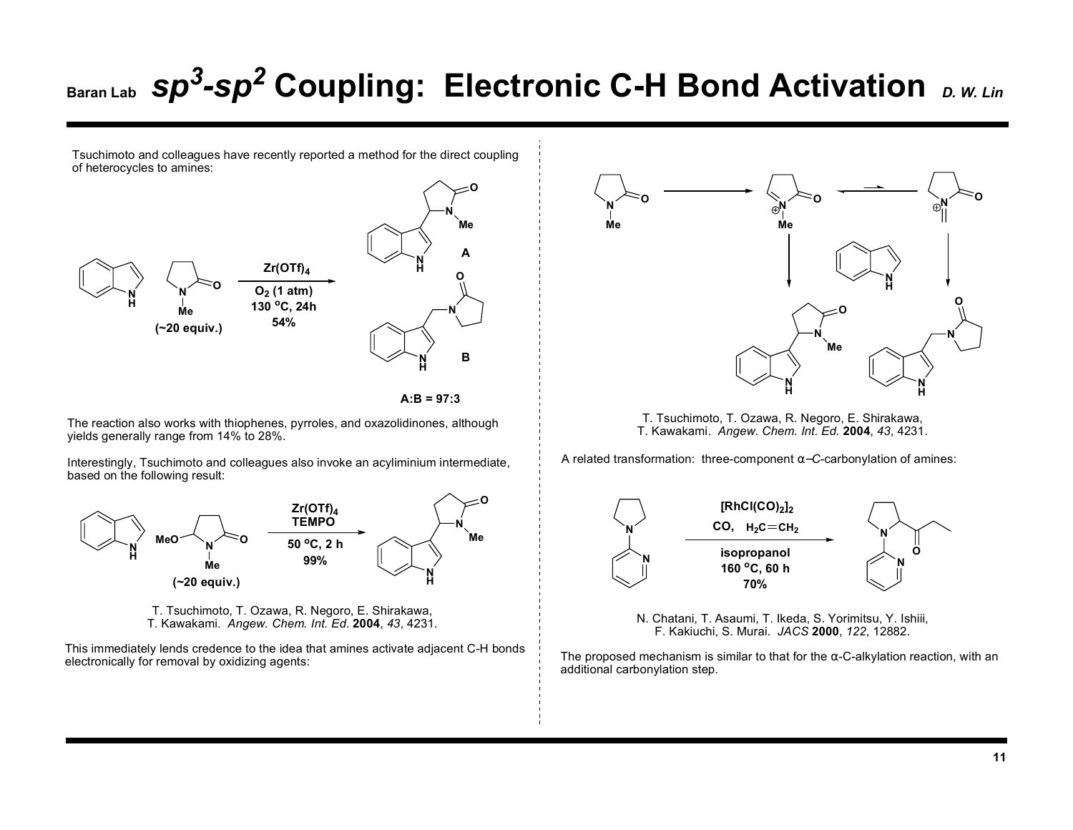Tsuchimoto and colleagues have recently reported a method for the direct coupling of heterocycles to amines:





The reaction also works with thiophenes, pyrroles, and oxazolidinones, although yields generally range from 14% to 28%.

Interestingly, Tsuchimoto and colleagues also invoke an acyliminium intermediate, based on the following result:





This immediately lends credence to the idea that amines activate adjacent C-H bonds electronically for removal by oxidizing agents:



T. Tsuchimoto, T. Ozawa, R. Negoro, E. Shirakawa, T. Kawakami. *Angew. Chem. Int. Ed.* **2004**, *43*, 4231.

A related transformation: three-component α−*C*-carbonylation of amines:



N. Chatani, T. Asaumi, T. Ikeda, S. Yorimitsu, Y. Ishiii, F. Kakiuchi, S. Murai. *JACS* **2000**, *122*, 12882.

The proposed mechanism is similar to that for the  $\alpha$ -C-alkylation reaction, with an additional carbonylation step.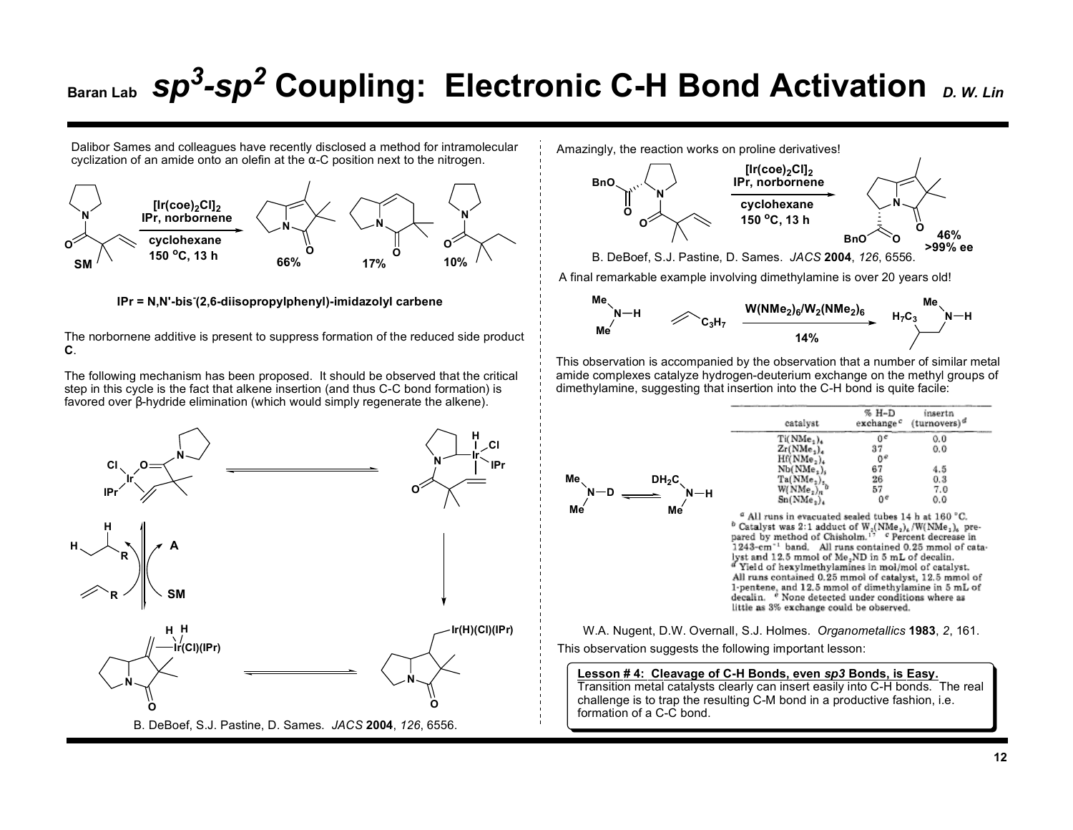Dalibor Sames and colleagues have recently disclosed a method for intramolecular Dalibor Sames and colleagues have recently disclosed a method for intramolecular <br>cyclization of an amide onto an olefin at the α-C position next to the nitrogen.



**IPr = N,N'-bis-(2,6-diisopropylphenyl)-imidazolyl carbene**

The norbornene additive is present to suppress formation of the reduced side product **C**.

The following mechanism has been proposed. It should be observed that the critical step in this cycle is the fact that alkene insertion (and thus C-C bond formation) is favored over β-hydride elimination (which would simply regenerate the alkene).





This observation is accompanied by the observation that a number of similar metal amide complexes catalyze hydrogen-deuterium exchange on the methyl groups of dimethylamine, suggesting that insertion into the C-H bond is quite facile:

| Иe<br>$DH_2C$<br>$-\mathsf{D}$<br>-н |  |
|--------------------------------------|--|
| Me<br>Мé                             |  |

**Me**

| catalyst                                                     | $% H-D$<br>exchange <sup>c</sup> | insertn<br>$(turnovers)^{a}$ |
|--------------------------------------------------------------|----------------------------------|------------------------------|
| Ti(NMe <sub>2</sub> ) <sub>4</sub>                           | ٥e                               | 0.0                          |
| Zr(NMe <sub>1</sub> )                                        | 37                               | 0,0                          |
| Hf(NMe <sub>2</sub> ) <sub>4</sub>                           | 0۴                               |                              |
| $Nb(NMe_*)$                                                  | 67                               | 4.5                          |
|                                                              | 26                               | 0.3                          |
| $\frac{\text{Ta}(\text{NMe}_2)_s}{\text{W}(\text{NMe}_2)_n}$ | 57                               | 7.0                          |
| Sn(NMe.).                                                    | 0 <sup>e</sup>                   | 0.0                          |

<sup>a</sup> All runs in evacuated sealed tubes 14 h at 160 °C. <sup>b</sup> Catalyst was 2:1 adduct of  $W_2(NMe_2)_6/W(NMe_1)_6$  prepared by method of Chisholm.<sup>17</sup> ° Percent decrease in 1243-cm<sup>-1</sup> band. All runs contained 0.25 mmol of catalyst and 12.5 mmol of Me<sub>2</sub>ND in 5 mL of decalin. " Yield of hexylmethylamines in mol/mol of catalyst. All runs contained 0.25 mmol of catalyst, 12.5 mmol of 1-pentene, and 12.5 mmol of dimethylamine in 5 mL of decalin. <sup>e</sup> None detected under conditions where as littie as 3% exchange could be observed.

W.A. Nugent, D.W. Overnall, S.J. Holmes. *Organometallics* **1983**, *2*, 161. This observation suggests the following important lesson:

### **Lesson # 4: Cleavage of C-H Bonds, even** *sp3* **Bonds, is Easy.**

Transition metal catalysts clearly can insert easily into C-H bonds. The real challenge is to trap the resulting C-M bond in a productive fashion, i.e. formation of a C-C bond.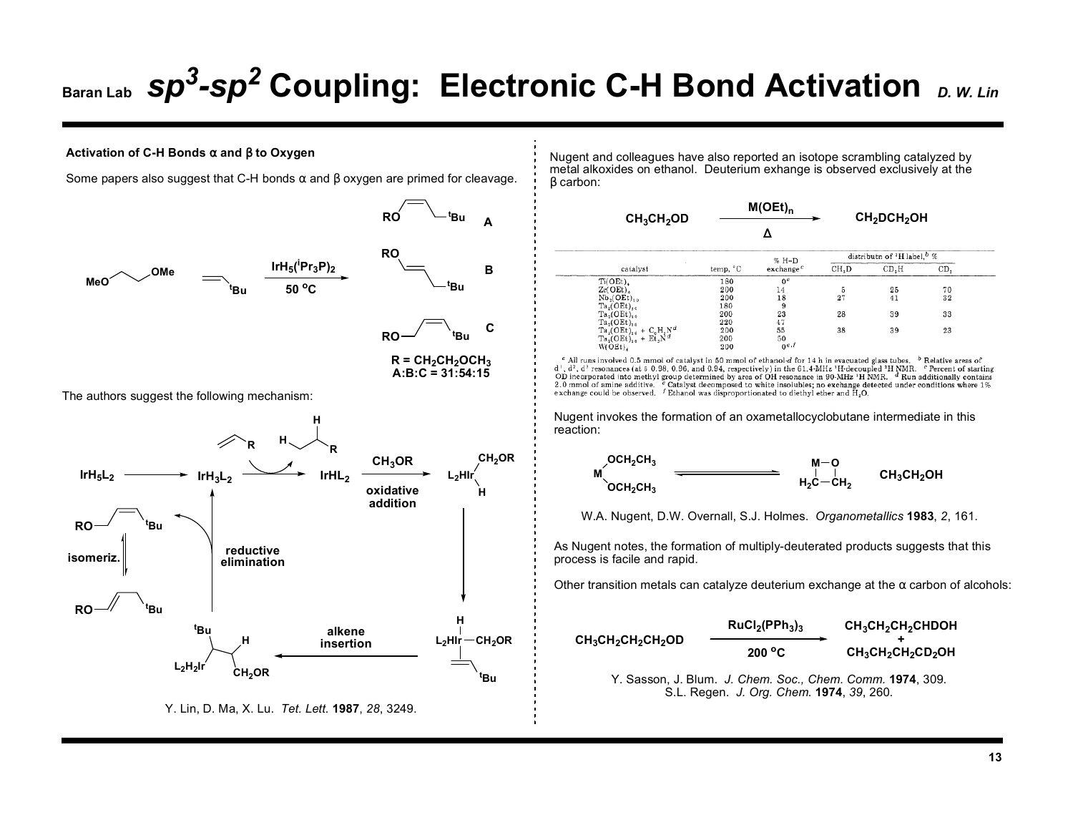### **Activation of C-H Bonds** α **and** β **to Oxygen**

Some papers also suggest that C-H bonds  $\alpha$  and  $\beta$  oxygen are primed for cleavage.



Nugent and colleagues have also reported an isotope scrambling catalyzed by metal alkoxides on ethanol. Deuterium exhange is observed exclusively at the β carbon:

| $CH_3CH_2OD$                        | $M(OEt)_{n}$ |                     | <b>CH<sub>2</sub>DCH<sub>2</sub>OH</b> |                                                    |     |  |
|-------------------------------------|--------------|---------------------|----------------------------------------|----------------------------------------------------|-----|--|
|                                     |              |                     |                                        |                                                    |     |  |
|                                     | $% H-D$      |                     |                                        | distributn of <sup>2</sup> H label, <sup>b</sup> % |     |  |
| catalyst                            | temp, °C     | $\alpha$ change $c$ | CH.D                                   | CD.H                                               | CD. |  |
| Ti(OEt),                            | 180          | 0 <sup>e</sup>      |                                        |                                                    |     |  |
| $Zr(OEt)$ .                         | 200          | 14                  | 5                                      | 25                                                 | 70  |  |
| $Nb(OEt)$ ,                         | 200          | 18                  | 27                                     | 41                                                 | 32  |  |
| $Ta2(OEt)$ <sub>10</sub>            | 180          | 9                   |                                        |                                                    |     |  |
| Ta <sub>2</sub> (OEt) <sub>10</sub> | 200          | 23                  | 28                                     | 39                                                 | 33  |  |
| $Ta_2(OEt)_{10}$                    | 220          | 47                  |                                        |                                                    |     |  |
| $Ta_2(OEt)_{10} + C_6H_5N^d$        | 200          | 55                  | 38                                     | 39                                                 | 23  |  |
| $Ta_2(OEt)_{10} + Et_1N^d$          | 200          | 50                  |                                        |                                                    |     |  |
| W(OEt),                             | 200          | $0^{e,f}$           |                                        |                                                    |     |  |

<sup>a</sup> All runs involved 0.5 mmol of catalyst in 50 mmol of ethanol d for 14 h in evacuated glass tubes. <sup>b</sup> Relative areas of d<sup>1</sup>, d<sup>2</sup>, d<sup>2</sup> resonances (at 5 0.98, 0.96, and 0.94, respectively) in the 61.4-MHz <sup>1</sup>H-decoupled <sup>2</sup>H NMR. <sup>c</sup> Percent of starting OD incorporated into methyl group determined by area of OH resonance in 90-MHz 'H NMR. dRun additionally contains 2.0 mmol of amine additive.  $\ell$  Catalyst decomposed to white insolubles; no exchange detected under condit exchange could be observed. *f* Ethanol was disproportionated to diethyl ether and H<sub>2</sub>O.

Nugent invokes the formation of an oxametallocyclobutane intermediate in this reaction:



W.A. Nugent, D.W. Overnall, S.J. Holmes. *Organometallics* **1983**, *2*, 161.

As Nugent notes, the formation of multiply-deuterated products suggests that this process is facile and rapid.

Other transition metals can catalyze deuterium exchange at the  $\alpha$  carbon of alcohols:

|                      | $RuCl2(PPh3)3$            | $CH_3CH_2CH_2CHDOH$  |
|----------------------|---------------------------|----------------------|
| $CH_3CH_2CH_2CH_2OD$ | $200\,^{\circ}\mathrm{C}$ | $CH_3CH_2CH_2CD_2OH$ |

Y. Sasson, J. Blum. *J. Chem. Soc., Chem. Comm.* **1974**, 309. S.L. Regen. *J. Org. Chem.* **1974**, *39*, 260.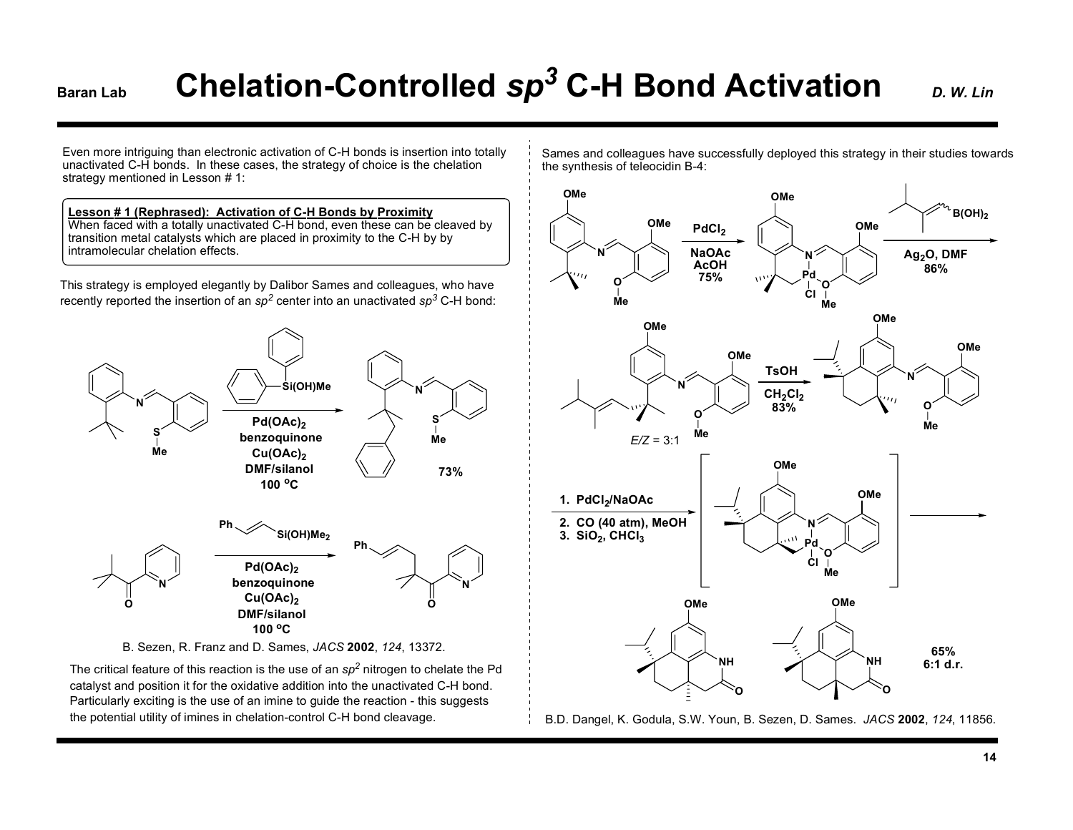# **Garan Lab Chelation-Controlled**  $sp^3$  **C-H Bond Activation** *D. W. Lin*

Even more intriguing than electronic activation of C-H bonds is insertion into totally unactivated C-H bonds. In these cases, the strategy of choice is the chelation strategy mentioned in Lesson # 1:

### **Lesson # 1 (Rephrased): Activation of C-H Bonds by Proximity**

When faced with a totally unactivated C-H bond, even these can be cleaved by transition metal catalysts which are placed in proximity to the C-H by by intramolecular chelation effects.

This strategy is employed elegantly by Dalibor Sames and colleagues, who have recently reported the insertion of an  $sp^2$  center into an unactivated  $sp^3$  C-H bond:



The critical feature of this reaction is the use of an *sp<sup>2</sup>* nitrogen to chelate the Pd catalyst and position it for the oxidative addition into the unactivated C-H bond. Particularly exciting is the use of an imine to guide the reaction - this suggests the potential utility of imines in chelation-control C-H bond cleavage.

Sames and colleagues have successfully deployed this strategy in their studies towards the synthesis of teleocidin B-4:



B.D. Dangel, K. Godula, S.W. Youn, B. Sezen, D. Sames. *JACS* **2002**, *124*, 11856.